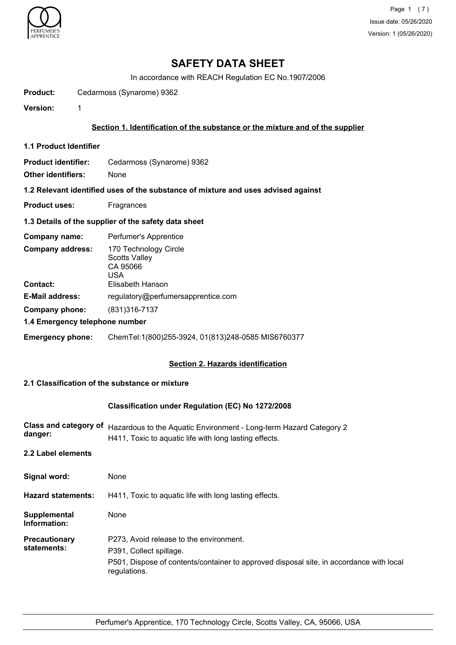

Page 1 (7) Issue date: 05/26/2020 Version: 1 (05/26/2020)

# **SAFETY DATA SHEET**

In accordance with REACH Regulation EC No.1907/2006

Product: Cedarmoss (Synarome) 9362

**Version:** 1

### **Section 1. Identification of the substance or the mixture and of the supplier**

**1.1 Product Identifier**

**Product identifier:** Cedarmoss (Synarome) 9362

**Other identifiers:** None

**1.2 Relevant identified uses of the substance of mixture and uses advised against**

**Product uses:** Fragrances

#### **1.3 Details of the supplier of the safety data sheet**

| Company name:                              | Perfumer's Apprentice                                                                |
|--------------------------------------------|--------------------------------------------------------------------------------------|
| <b>Company address:</b><br><b>Contact:</b> | 170 Technology Circle<br><b>Scotts Valley</b><br>CA 95066<br>USA<br>Elisabeth Hanson |
| <b>E-Mail address:</b>                     | regulatory@perfumersapprentice.com                                                   |
| Company phone:                             | (831) 316-7137                                                                       |
| 1.4 Emergency telephone number             |                                                                                      |
| <b>Emergency phone:</b>                    | ChemTel:1(800)255-3924, 01(813)248-0585 MIS6760377                                   |

#### **Section 2. Hazards identification**

# **2.1 Classification of the substance or mixture**

#### **Classification under Regulation (EC) No 1272/2008**

| Hazardous to the Aquatic Environment - Long-term Hazard Category 2<br>H411, Toxic to aquatic life with long lasting effects. |
|------------------------------------------------------------------------------------------------------------------------------|
|                                                                                                                              |
| None                                                                                                                         |
| H411, Toxic to aquatic life with long lasting effects.                                                                       |
| None                                                                                                                         |
| P273, Avoid release to the environment.                                                                                      |
| P391, Collect spillage.                                                                                                      |
| P501, Dispose of contents/container to approved disposal site, in accordance with local<br>regulations.                      |
|                                                                                                                              |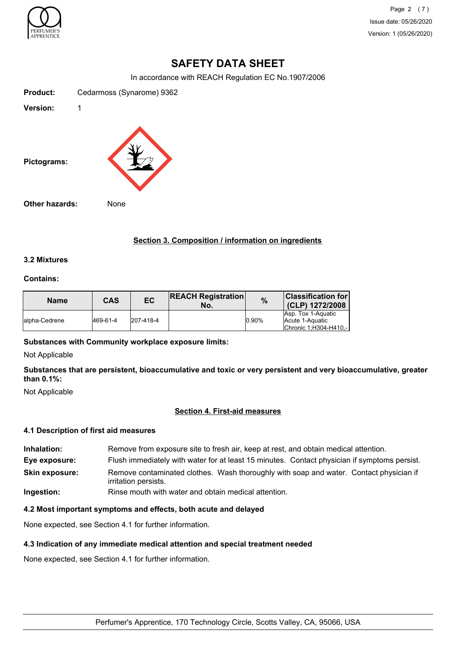

Page 2 (7) Issue date: 05/26/2020 Version: 1 (05/26/2020)

# **SAFETY DATA SHEET**

In accordance with REACH Regulation EC No.1907/2006

**Product:** Cedarmoss (Synarome) 9362 **Version:** 1 **Pictograms: Other hazards:** None

# **Section 3. Composition / information on ingredients**

# **3.2 Mixtures**

#### **Contains:**

| <b>Name</b>    | CAS      | EC        | <b>REACH Registration</b><br>No. | $\frac{9}{6}$ | <b>Classification for</b><br>(CLP) 1272/2008                     |
|----------------|----------|-----------|----------------------------------|---------------|------------------------------------------------------------------|
| lalpha-Cedrene | 469-61-4 | 207-418-4 |                                  | 0.90%         | Asp. Tox 1-Aquatic<br>Acute 1-Aquatic<br>Chronic 1, H304-H410 .- |

**Substances with Community workplace exposure limits:**

Not Applicable

**Substances that are persistent, bioaccumulative and toxic or very persistent and very bioaccumulative, greater than 0.1%:**

Not Applicable

### **Section 4. First-aid measures**

#### **4.1 Description of first aid measures**

**Inhalation:** Remove from exposure site to fresh air, keep at rest, and obtain medical attention. **Eye exposure:** Flush immediately with water for at least 15 minutes. Contact physician if symptoms persist. Remove contaminated clothes. Wash thoroughly with soap and water. Contact physician if irritation persists. **Skin exposure: Ingestion:** Rinse mouth with water and obtain medical attention.

# **4.2 Most important symptoms and effects, both acute and delayed**

None expected, see Section 4.1 for further information.

#### **4.3 Indication of any immediate medical attention and special treatment needed**

None expected, see Section 4.1 for further information.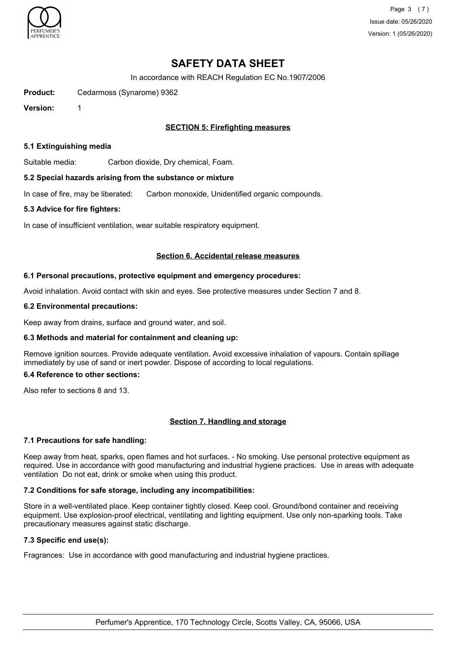

Page 3 (7) Issue date: 05/26/2020 Version: 1 (05/26/2020)

# **SAFETY DATA SHEET**

In accordance with REACH Regulation EC No.1907/2006

**Product:** Cedarmoss (Synarome) 9362

**Version:** 1

# **SECTION 5: Firefighting measures**

#### **5.1 Extinguishing media**

Suitable media: Carbon dioxide, Dry chemical, Foam.

### **5.2 Special hazards arising from the substance or mixture**

In case of fire, may be liberated: Carbon monoxide, Unidentified organic compounds.

### **5.3 Advice for fire fighters:**

In case of insufficient ventilation, wear suitable respiratory equipment.

### **Section 6. Accidental release measures**

### **6.1 Personal precautions, protective equipment and emergency procedures:**

Avoid inhalation. Avoid contact with skin and eyes. See protective measures under Section 7 and 8.

### **6.2 Environmental precautions:**

Keep away from drains, surface and ground water, and soil.

# **6.3 Methods and material for containment and cleaning up:**

Remove ignition sources. Provide adequate ventilation. Avoid excessive inhalation of vapours. Contain spillage immediately by use of sand or inert powder. Dispose of according to local regulations.

# **6.4 Reference to other sections:**

Also refer to sections 8 and 13.

# **Section 7. Handling and storage**

# **7.1 Precautions for safe handling:**

Keep away from heat, sparks, open flames and hot surfaces. - No smoking. Use personal protective equipment as required. Use in accordance with good manufacturing and industrial hygiene practices. Use in areas with adequate ventilation Do not eat, drink or smoke when using this product.

# **7.2 Conditions for safe storage, including any incompatibilities:**

Store in a well-ventilated place. Keep container tightly closed. Keep cool. Ground/bond container and receiving equipment. Use explosion-proof electrical, ventilating and lighting equipment. Use only non-sparking tools. Take precautionary measures against static discharge.

# **7.3 Specific end use(s):**

Fragrances: Use in accordance with good manufacturing and industrial hygiene practices.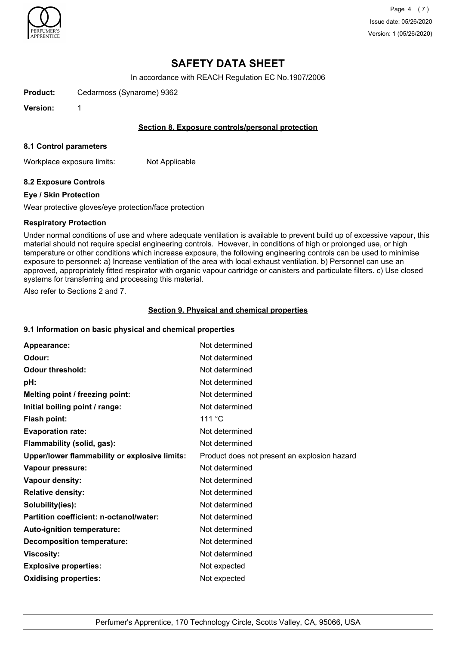

Page 4 (7) Issue date: 05/26/2020 Version: 1 (05/26/2020)

# **SAFETY DATA SHEET**

In accordance with REACH Regulation EC No.1907/2006

**Product:** Cedarmoss (Synarome) 9362

**Version:** 1

### **Section 8. Exposure controls/personal protection**

#### **8.1 Control parameters**

Workplace exposure limits: Not Applicable

# **8.2 Exposure Controls**

#### **Eye / Skin Protection**

Wear protective gloves/eye protection/face protection

### **Respiratory Protection**

Under normal conditions of use and where adequate ventilation is available to prevent build up of excessive vapour, this material should not require special engineering controls. However, in conditions of high or prolonged use, or high temperature or other conditions which increase exposure, the following engineering controls can be used to minimise exposure to personnel: a) Increase ventilation of the area with local exhaust ventilation. b) Personnel can use an approved, appropriately fitted respirator with organic vapour cartridge or canisters and particulate filters. c) Use closed systems for transferring and processing this material.

Also refer to Sections 2 and 7.

### **Section 9. Physical and chemical properties**

# **9.1 Information on basic physical and chemical properties**

| Appearance:                                   | Not determined                               |
|-----------------------------------------------|----------------------------------------------|
| Odour:                                        | Not determined                               |
| <b>Odour threshold:</b>                       | Not determined                               |
| pH:                                           | Not determined                               |
| Melting point / freezing point:               | Not determined                               |
| Initial boiling point / range:                | Not determined                               |
| <b>Flash point:</b>                           | 111 °C                                       |
| <b>Evaporation rate:</b>                      | Not determined                               |
| Flammability (solid, gas):                    | Not determined                               |
| Upper/lower flammability or explosive limits: | Product does not present an explosion hazard |
| Vapour pressure:                              | Not determined                               |
| Vapour density:                               | Not determined                               |
| <b>Relative density:</b>                      | Not determined                               |
| Solubility(ies):                              | Not determined                               |
| Partition coefficient: n-octanol/water:       | Not determined                               |
| Auto-ignition temperature:                    | Not determined                               |
| <b>Decomposition temperature:</b>             | Not determined                               |
| <b>Viscosity:</b>                             | Not determined                               |
| <b>Explosive properties:</b>                  | Not expected                                 |
| <b>Oxidising properties:</b>                  | Not expected                                 |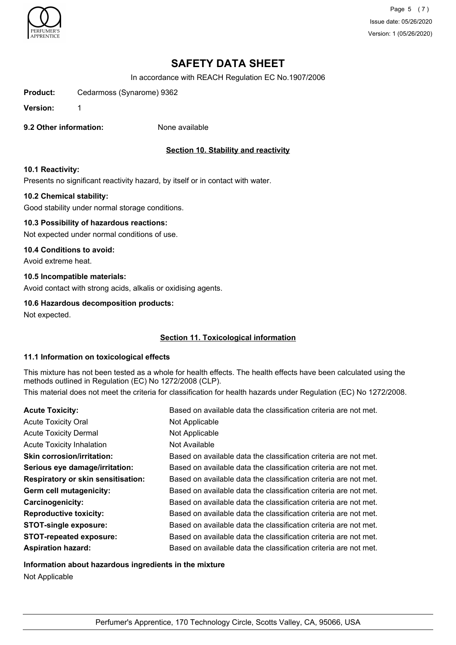

Page 5 (7) Issue date: 05/26/2020 Version: 1 (05/26/2020)

# **SAFETY DATA SHEET**

In accordance with REACH Regulation EC No.1907/2006

**Product:** Cedarmoss (Synarome) 9362

**Version:** 1

**9.2 Other information:** None available

# **Section 10. Stability and reactivity**

### **10.1 Reactivity:**

Presents no significant reactivity hazard, by itself or in contact with water.

### **10.2 Chemical stability:**

Good stability under normal storage conditions.

# **10.3 Possibility of hazardous reactions:**

Not expected under normal conditions of use.

# **10.4 Conditions to avoid:**

Avoid extreme heat.

### **10.5 Incompatible materials:**

Avoid contact with strong acids, alkalis or oxidising agents.

### **10.6 Hazardous decomposition products:**

Not expected.

# **Section 11. Toxicological information**

# **11.1 Information on toxicological effects**

This mixture has not been tested as a whole for health effects. The health effects have been calculated using the methods outlined in Regulation (EC) No 1272/2008 (CLP).

This material does not meet the criteria for classification for health hazards under Regulation (EC) No 1272/2008.

| Based on available data the classification criteria are not met. |
|------------------------------------------------------------------|
| Not Applicable                                                   |
| Not Applicable                                                   |
| Not Available                                                    |
| Based on available data the classification criteria are not met. |
| Based on available data the classification criteria are not met. |
| Based on available data the classification criteria are not met. |
| Based on available data the classification criteria are not met. |
| Based on available data the classification criteria are not met. |
| Based on available data the classification criteria are not met. |
| Based on available data the classification criteria are not met. |
| Based on available data the classification criteria are not met. |
| Based on available data the classification criteria are not met. |
|                                                                  |

# **Information about hazardous ingredients in the mixture**

Not Applicable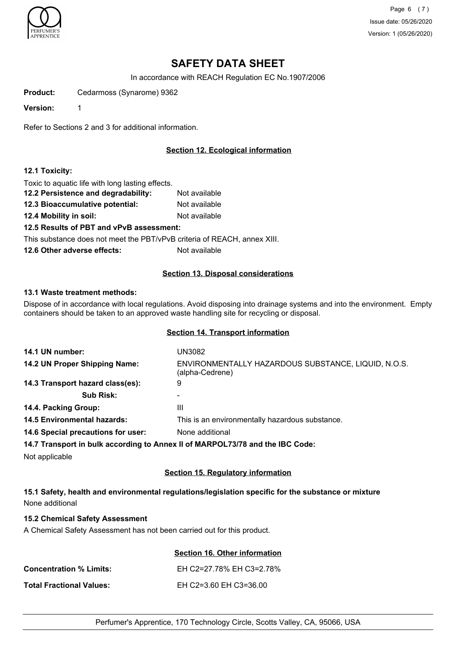

Page 6 (7) Issue date: 05/26/2020 Version: 1 (05/26/2020)

# **SAFETY DATA SHEET**

In accordance with REACH Regulation EC No.1907/2006

**Product:** Cedarmoss (Synarome) 9362

**Version:** 1

Refer to Sections 2 and 3 for additional information.

# **Section 12. Ecological information**

### **12.1 Toxicity:**

Toxic to aquatic life with long lasting effects.

**12.2 Persistence and degradability:** Not available **12.3 Bioaccumulative potential:** Not available **12.4 Mobility in soil:** Not available **12.5 Results of PBT and vPvB assessment:** This substance does not meet the PBT/vPvB criteria of REACH, annex XIII. **12.6 Other adverse effects:** Not available

# **Section 13. Disposal considerations**

#### **13.1 Waste treatment methods:**

Dispose of in accordance with local regulations. Avoid disposing into drainage systems and into the environment. Empty containers should be taken to an approved waste handling site for recycling or disposal.

#### **Section 14. Transport information**

| 14.1 UN number:                    | UN3082                                                                        |
|------------------------------------|-------------------------------------------------------------------------------|
| 14.2 UN Proper Shipping Name:      | ENVIRONMENTALLY HAZARDOUS SUBSTANCE, LIQUID, N.O.S.<br>(alpha-Cedrene)        |
| 14.3 Transport hazard class(es):   | 9                                                                             |
| <b>Sub Risk:</b>                   |                                                                               |
| 14.4. Packing Group:               | Ш                                                                             |
| <b>14.5 Environmental hazards:</b> | This is an environmentally hazardous substance.                               |
| 14.6 Special precautions for user: | None additional                                                               |
|                                    | 14.7 Transport in bulk according to Annex II of MARPOL73/78 and the IBC Code: |
|                                    |                                                                               |

Not applicable

### **Section 15. Regulatory information**

**15.1 Safety, health and environmental regulations/legislation specific for the substance or mixture** None additional

# **15.2 Chemical Safety Assessment**

A Chemical Safety Assessment has not been carried out for this product.

|                                | Section 16. Other information |
|--------------------------------|-------------------------------|
| <b>Concentration % Limits:</b> | EH C2=27.78% EH C3=2.78%      |
| Total Fractional Values:       | EH C2=3.60 EH C3=36.00        |